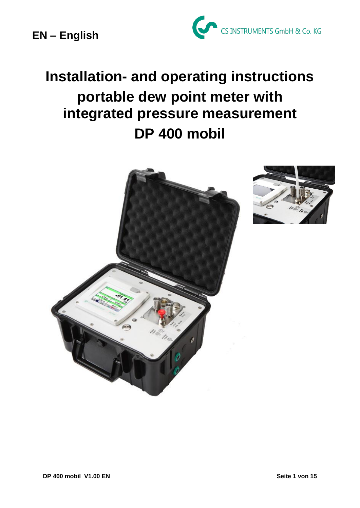

# **Installation- and operating instructions portable dew point meter with integrated pressure measurement DP 400 mobil**



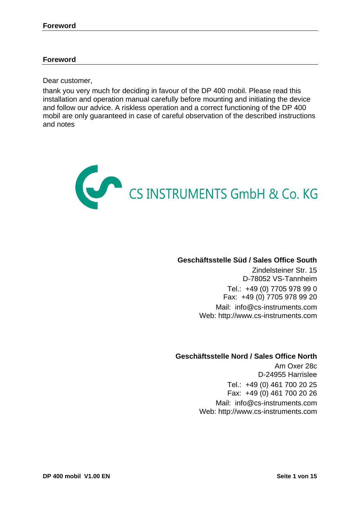### **Foreword**

Dear customer,

thank you very much for deciding in favour of the DP 400 mobil. Please read this installation and operation manual carefully before mounting and initiating the device and follow our advice. A riskless operation and a correct functioning of the DP 400 mobil are only guaranteed in case of careful observation of the described instructions and notes



### **Geschäftsstelle Süd / Sales Office South**

Zindelsteiner Str. 15 D-78052 VS-Tannheim Tel.: +49 (0) 7705 978 99 0 Fax: +49 (0) 7705 978 99 20 Mail: info@cs-instruments.com Web: http://www.cs-instruments.com

### **Geschäftsstelle Nord / Sales Office North**

Am Oxer 28c D-24955 Harrislee Tel.: +49 (0) 461 700 20 25 Fax: +49 (0) 461 700 20 26

Mail: info@cs-instruments.com Web: http://www.cs-instruments.com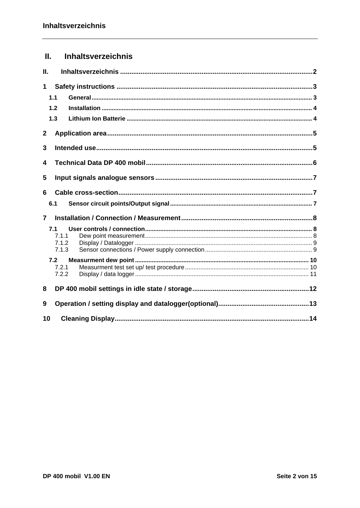# <span id="page-2-0"></span>II. Inhaltsverzeichnis

| П.             |                                |  |  |  |  |  |  |
|----------------|--------------------------------|--|--|--|--|--|--|
| 1              |                                |  |  |  |  |  |  |
|                | 1.1                            |  |  |  |  |  |  |
|                | 1.2                            |  |  |  |  |  |  |
|                | 1.3                            |  |  |  |  |  |  |
| 2              |                                |  |  |  |  |  |  |
| 3              |                                |  |  |  |  |  |  |
| 4              |                                |  |  |  |  |  |  |
| 5              |                                |  |  |  |  |  |  |
| 6              |                                |  |  |  |  |  |  |
|                | 6.1                            |  |  |  |  |  |  |
| $\overline{7}$ |                                |  |  |  |  |  |  |
|                | 7.1<br>7.1.1<br>7.1.2<br>7.1.3 |  |  |  |  |  |  |
|                | 7.2                            |  |  |  |  |  |  |
|                | 7.2.1<br>7.2.2                 |  |  |  |  |  |  |
| 8              |                                |  |  |  |  |  |  |
| 9              |                                |  |  |  |  |  |  |
| 10             |                                |  |  |  |  |  |  |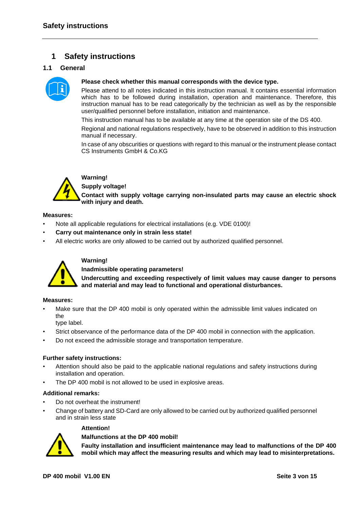# <span id="page-3-0"></span>**1 Safety instructions**

### <span id="page-3-1"></span>**1.1 General**



### **Please check whether this manual corresponds with the device type.**

Please attend to all notes indicated in this instruction manual. It contains essential information which has to be followed during installation, operation and maintenance. Therefore, this instruction manual has to be read categorically by the technician as well as by the responsible user/qualified personnel before installation, initiation and maintenance.

This instruction manual has to be available at any time at the operation site of the DS 400.

Regional and national regulations respectively, have to be observed in addition to this instruction manual if necessary.

In case of any obscurities or questions with regard to this manual or the instrument please contact CS Instruments GmbH & Co.KG



# **Warning!**

**Supply voltage!**

**Contact with supply voltage carrying non-insulated parts may cause an electric shock with injury and death.**

### **Measures:**

- Note all applicable regulations for electrical installations (e.g. VDE 0100)!
- **Carry out maintenance only in strain less state!**
- All electric works are only allowed to be carried out by authorized qualified personnel.



### **Warning!**

**Inadmissible operating parameters!**

**Undercutting and exceeding respectively of limit values may cause danger to persons and material and may lead to functional and operational disturbances.**

### **Measures:**

Make sure that the DP 400 mobil is only operated within the admissible limit values indicated on the

type label.

- Strict observance of the performance data of the DP 400 mobil in connection with the application.
- Do not exceed the admissible storage and transportation temperature.

### **Further safety instructions:**

- Attention should also be paid to the applicable national regulations and safety instructions during installation and operation.
- The DP 400 mobil is not allowed to be used in explosive areas.

### **Additional remarks:**

- Do not overheat the instrument!
- Change of battery and SD-Card are only allowed to be carried out by authorized qualified personnel and in strain less state

### **Attention!**

### **Malfunctions at the DP 400 mobil!**

**Faulty installation and insufficient maintenance may lead to malfunctions of the DP 400 mobil which may affect the measuring results and which may lead to misinterpretations.**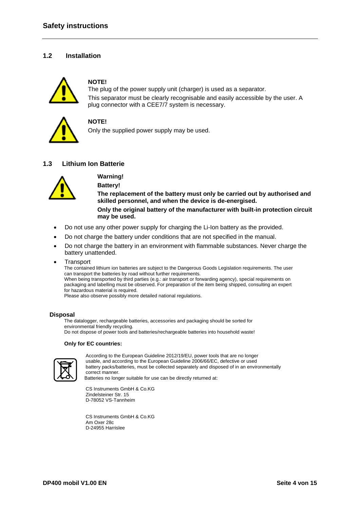### <span id="page-4-0"></span>**1.2 Installation**



### **NOTE!**

The plug of the power supply unit (charger) is used as a separator. This separator must be clearly recognisable and easily accessible by the user. A plug connector with a CEE7/7 system is necessary.



### **NOTE!**

Only the supplied power supply may be used.

### <span id="page-4-1"></span>**1.3 Lithium Ion Batterie**



### **Warning! Battery!**

**The replacement of the battery must only be carried out by authorised and skilled personnel, and when the device is de-energised.**

**Only the original battery of the manufacturer with built-in protection circuit may be used.**

- Do not use any other power supply for charging the Li-Ion battery as the provided.
- Do not charge the battery under conditions that are not specified in the manual.
- Do not charge the battery in an environment with flammable substances. Never charge the battery unattended.
- **Transport**

The contained lithium ion batteries are subject to the Dangerous Goods Legislation requirements. The user can transport the batteries by road without further requirements.

When being transported by third parties (e.g.: air transport or forwarding agency), special requirements on packaging and labelling must be observed. For preparation of the item being shipped, consulting an expert for hazardous material is required.

Please also observe possibly more detailed national regulations.

#### **Disposal**

The datalogger, rechargeable batteries, accessories and packaging should be sorted for environmental friendly recycling. Do not dispose of power tools and batteries/rechargeable batteries into household waste!

#### **Only for EC countries:**



 According to the European Guideline 2012/19/EU, power tools that are no longer usable, and according to the European Guideline 2006/66/EC, defective or used battery packs/batteries, must be collected separately and disposed of in an environmentally correct manner. Batteries no longer suitable for use can be directly returned at:

CS Instruments GmbH & Co.KG Zindelsteiner Str. 15 D-78052 VS-Tannheim

CS Instruments GmbH & Co.KG Am Oxer 28c D-24955 Harrislee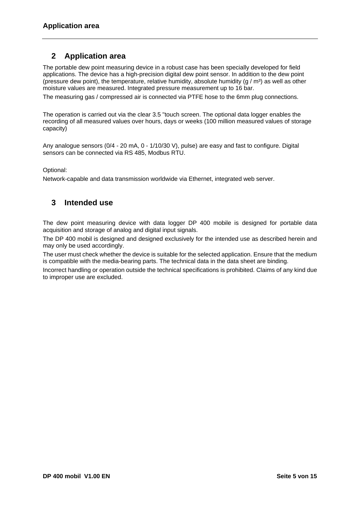# <span id="page-5-0"></span>**2 Application area**

The portable dew point measuring device in a robust case has been specially developed for field applications. The device has a high-precision digital dew point sensor. In addition to the dew point (pressure dew point), the temperature, relative humidity, absolute humidity  $(q/m<sup>3</sup>)$  as well as other moisture values are measured. Integrated pressure measurement up to 16 bar.

The measuring gas / compressed air is connected via PTFE hose to the 6mm plug connections.

The operation is carried out via the clear 3.5 "touch screen. The optional data logger enables the recording of all measured values over hours, days or weeks (100 million measured values of storage capacity)

Any analogue sensors (0/4 - 20 mA, 0 - 1/10/30 V), pulse) are easy and fast to configure. Digital sensors can be connected via RS 485, Modbus RTU.

Optional:

Network-capable and data transmission worldwide via Ethernet, integrated web server.

## <span id="page-5-1"></span>**3 Intended use**

The dew point measuring device with data logger DP 400 mobile is designed for portable data acquisition and storage of analog and digital input signals.

The DP 400 mobil is designed and designed exclusively for the intended use as described herein and may only be used accordingly.

The user must check whether the device is suitable for the selected application. Ensure that the medium is compatible with the media-bearing parts. The technical data in the data sheet are binding.

Incorrect handling or operation outside the technical specifications is prohibited. Claims of any kind due to improper use are excluded.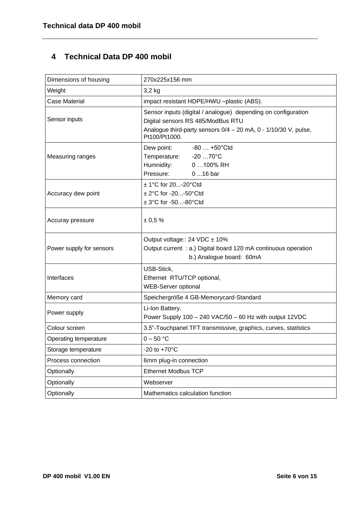# <span id="page-6-0"></span>**4 Technical Data DP 400 mobil**

| Dimensions of housing    | 270x225x156 mm                                                                                                                                                                             |  |  |
|--------------------------|--------------------------------------------------------------------------------------------------------------------------------------------------------------------------------------------|--|--|
| Weight                   | 3,2 kg                                                                                                                                                                                     |  |  |
| <b>Case Material</b>     | impact resistant HDPE/HWU -plastic (ABS).                                                                                                                                                  |  |  |
| Sensor inputs            | Sensor inputs (digital / analogue) depending on configuration<br>Digital sensors RS 485/ModBus RTU<br>Analogue third-party sensors $0/4 - 20$ mA, $0 - 1/10/30$ V, pulse,<br>Pt100/Pt1000. |  |  |
| Measuring ranges         | -80 … +50°Ctd<br>Dew point:<br>Temperature: -20 70°C<br>Humnidity:<br>0 100% RH<br>Pressure:<br>$016$ bar                                                                                  |  |  |
| Accuracy dew point       | ± 1°C for 20-20°Ctd<br>± 2°C for -20-50°Ctd<br>$± 3°C$ for -50-80 $°C$ td                                                                                                                  |  |  |
| Accuray pressure         | ± 0.5%                                                                                                                                                                                     |  |  |
|                          |                                                                                                                                                                                            |  |  |
| Power supply for sensors | Output voltage:: 24 VDC ± 10%<br>Output current : a.) Digital board 120 mA continuous operation<br>b.) Analogue board: 60mA                                                                |  |  |
| Interfaces               | USB-Stick,<br>Ethernet RTU/TCP optional,<br><b>WEB-Server optional</b>                                                                                                                     |  |  |
| Memory card              | Speichergröße 4 GB-Memorycard-Standard                                                                                                                                                     |  |  |
| Power supply             | Li-Ion Battery,<br>Power Supply 100 - 240 VAC/50 - 60 Hz with output 12VDC                                                                                                                 |  |  |
| Colour screen            | 3.5"-Touchpanel TFT transmissive, graphics, curves, statistics                                                                                                                             |  |  |
| Operating temperature    | $0 - 50 °C$                                                                                                                                                                                |  |  |
| Storage temperature      | -20 to $+70^{\circ}$ C                                                                                                                                                                     |  |  |
| Process connection       | 6mm plug-in connection                                                                                                                                                                     |  |  |
| Optionally               | <b>Ethernet Modbus TCP</b>                                                                                                                                                                 |  |  |
| Optionally               | Webserver                                                                                                                                                                                  |  |  |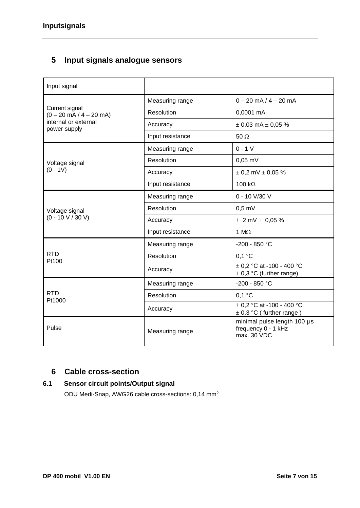# <span id="page-7-0"></span>**5 Input signals analogue sensors**

| Input signal                                                |                   |                                                                   |  |
|-------------------------------------------------------------|-------------------|-------------------------------------------------------------------|--|
|                                                             | Measuring range   | $0 - 20$ mA $/ 4 - 20$ mA                                         |  |
| Current signal<br>$(0 - 20 \text{ mA} / 4 - 20 \text{ mA})$ | <b>Resolution</b> | 0,0001 mA                                                         |  |
| internal or external<br>power supply                        | Accuracy          | $\pm$ 0,03 mA $\pm$ 0,05 %                                        |  |
|                                                             | Input resistance  | 50 $\Omega$                                                       |  |
|                                                             | Measuring range   | $0 - 1 V$                                                         |  |
| Voltage signal                                              | <b>Resolution</b> | $0,05$ mV                                                         |  |
| $(0 - 1V)$                                                  | Accuracy          | $\pm$ 0,2 mV $\pm$ 0,05 %                                         |  |
|                                                             | Input resistance  | 100 $k\Omega$                                                     |  |
|                                                             | Measuring range   | 0 - 10 V/30 V                                                     |  |
| Voltage signal                                              | Resolution        | $0,5$ mV                                                          |  |
| $(0 - 10 V / 30 V)$                                         | Accuracy          | $\pm$ 2 mV $\pm$ 0,05 %                                           |  |
|                                                             | Input resistance  | 1 $M\Omega$                                                       |  |
|                                                             | Measuring range   | -200 - 850 °C                                                     |  |
| <b>RTD</b><br>Pt100                                         | Resolution        | $0,1$ °C                                                          |  |
|                                                             | Accuracy          | $\pm$ 0,2 °C at -100 - 400 °C<br>$\pm$ 0,3 °C (further range)     |  |
|                                                             | Measuring range   | $-200 - 850$ °C                                                   |  |
| <b>RTD</b><br>Pt1000                                        | Resolution        | $0,1$ °C                                                          |  |
|                                                             | Accuracy          | $\pm$ 0.2 °C at -100 - 400 °C<br>$\pm$ 0,3 °C (further range)     |  |
| Pulse                                                       | Measuring range   | minimal pulse length 100 µs<br>frequency 0 - 1 kHz<br>max. 30 VDC |  |

# <span id="page-7-1"></span>**6 Cable cross-section**

# **6.1 Sensor circuit points/Output signal**

<span id="page-7-2"></span>ODU Medi-Snap, AWG26 cable cross-sections: 0,14 mm<sup>2</sup>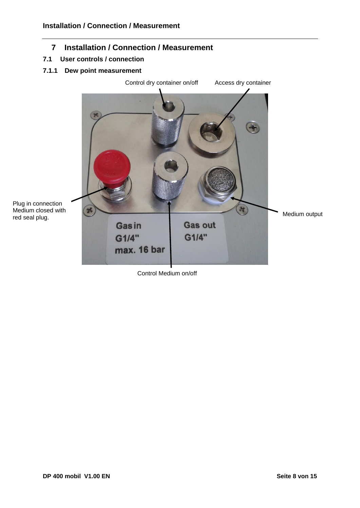# <span id="page-8-0"></span>**7 Installation / Connection / Measurement**

### <span id="page-8-1"></span>**7.1 User controls / connection**

# <span id="page-8-2"></span>**7.1.1 Dew point measurement**



Control Medium on/off

red seal plug.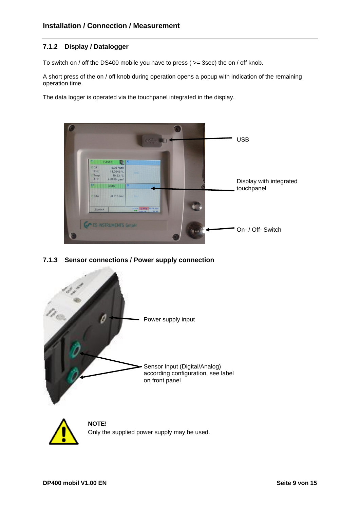### <span id="page-9-0"></span>**7.1.2 Display / Datalogger**

To switch on / off the DS400 mobile you have to press ( >= 3sec) the on / off knob.

A short press of the on / off knob during operation opens a popup with indication of the remaining operation time.

The data logger is operated via the touchpanel integrated in the display.



### <span id="page-9-1"></span>**7.1.3 Sensor connections / Power supply connection**

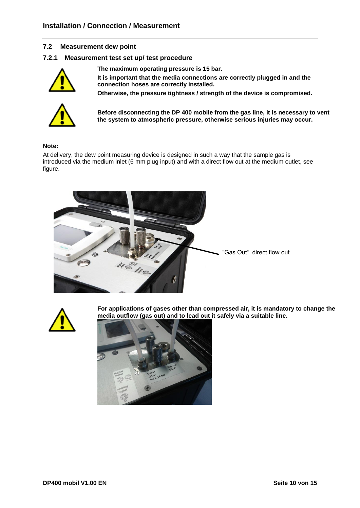### <span id="page-10-0"></span>**7.2 Measurement dew point**

### <span id="page-10-1"></span>**7.2.1 Measurement test set up/ test procedure**



**The maximum operating pressure is 15 bar.**

**It is important that the media connections are correctly plugged in and the connection hoses are correctly installed.**

**Otherwise, the pressure tightness / strength of the device is compromised.**



**Before disconnecting the DP 400 mobile from the gas line, it is necessary to vent the system to atmospheric pressure, otherwise serious injuries may occur.**

### **Note:**

At delivery, the dew point measuring device is designed in such a way that the sample gas is introduced via the medium inlet (6 mm plug input) and with a direct flow out at the medium outlet, see figure.





**For applications of gases other than compressed air, it is mandatory to change the media outflow (gas out) and to lead out it safely via a suitable line.**

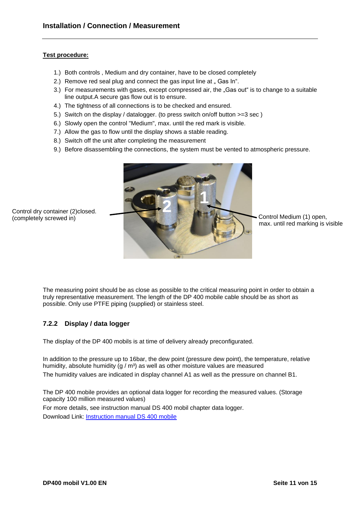### **Test procedure:**

Control dry container (2)closed.

(completely screwed in)

- 1.) Both controls , Medium and dry container, have to be closed completely
- 2.) Remove red seal plug and connect the gas input line at . Gas In".
- 3.) For measurements with gases, except compressed air, the "Gas out" is to change to a suitable line output.A secure gas flow out is to ensure.
- 4.) The tightness of all connections is to be checked and ensured.
- 5.) Switch on the display / datalogger. (to press switch on/off button >=3 sec )
- 6.) Slowly open the control "Medium", max. until the red mark is visible.
- 7.) Allow the gas to flow until the display shows a stable reading.
- 8.) Switch off the unit after completing the measurement
- 9.) Before disassembling the connections, the system must be vented to atmospheric pressure.



Control Medium (1) open. max. until red marking is visible

The measuring point should be as close as possible to the critical measuring point in order to obtain a truly representative measurement. The length of the DP 400 mobile cable should be as short as possible. Only use PTFE piping (supplied) or stainless steel.

### <span id="page-11-0"></span>**7.2.2 Display / data logger**

The display of the DP 400 mobils is at time of delivery already preconfigurated.

In addition to the pressure up to 16bar, the dew point (pressure dew point), the temperature, relative humidity, absolute humidity (g / m<sup>3</sup>) as well as other moisture values are measured The humidity values are indicated in display channel A1 as well as the pressure on channel B1.

The DP 400 mobile provides an optional data logger for recording the measured values. (Storage capacity 100 million measured values) For more details, see instruction manual DS 400 mobil chapter data logger. Download Link: [Instruction manual DS 400 mobile](http://www.cs-instruments.com/fileadmin/cs-data/Bedienungsanleitungen/Instruction%20manuals_EN_new/Instruction%20manual%20DS%20400%20mobile.pdf)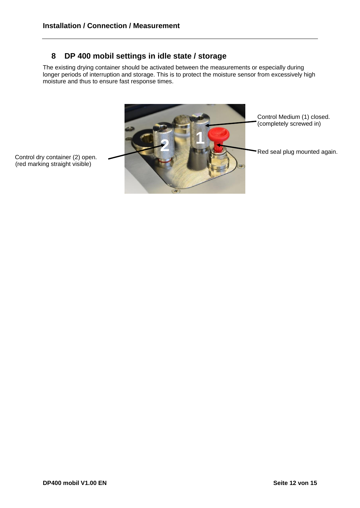# <span id="page-12-0"></span>**8 DP 400 mobil settings in idle state / storage**

The existing drying container should be activated between the measurements or especially during longer periods of interruption and storage. This is to protect the moisture sensor from excessively high moisture and thus to ensure fast response times.



(red marking straight visible)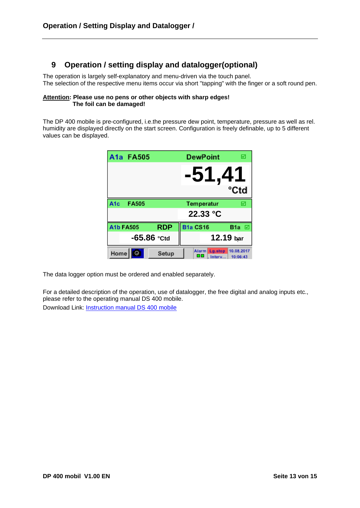# <span id="page-13-0"></span>**9 Operation / setting display and datalogger(optional)**

The operation is largely self-explanatory and menu-driven via the touch panel. The selection of the respective menu items occur via short "tapping" with the finger or a soft round pen.

#### **Attention: Please use no pens or other objects with sharp edges! The foil can be damaged!**

The DP 400 mobile is pre-configured, i.e.the pressure dew point, temperature, pressure as well as rel. humidity are displayed directly on the start screen. Configuration is freely definable, up to 5 different values can be displayed.

|                        | A1a FA505    |            | <b>DewPoint</b>                  | ⊠                      |
|------------------------|--------------|------------|----------------------------------|------------------------|
|                        |              |            | -51.41                           |                        |
|                        |              |            |                                  | °Ctd                   |
| A <sub>1c</sub>        | <b>FA505</b> |            | Temperatur                       | ☑                      |
|                        |              |            | 22.33 °C                         |                        |
| <b>A1b FA505</b>       |              | <b>RDP</b> | <b>B1a CS16</b>                  | B <sub>1</sub> a<br>▽  |
| $-65.86$ $\degree$ Ctd |              |            |                                  | 12.19 bar              |
| Home                   | <b>to</b>    | Setup      | Alarm<br>Lg.stop<br>oo<br>Interv | 10.08.2017<br>10:06:43 |

The data logger option must be ordered and enabled separately.

For a detailed description of the operation, use of datalogger, the free digital and analog inputs etc., please refer to the operating manual DS 400 mobile. Download Link: [Instruction manual DS 400 mobile](http://www.cs-instruments.com/fileadmin/cs-data/Bedienungsanleitungen/Instruction%20manuals_EN_new/Instruction%20manual%20DS%20400%20mobile.pdf)